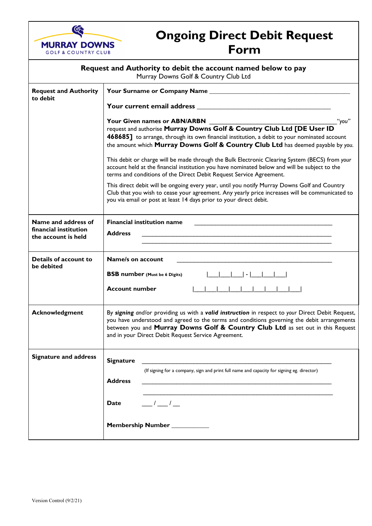

# **Ongoing Direct Debit Request Form**

| Request and Authority to debit the account named below to pay<br>Murray Downs Golf & Country Club Ltd |                                                                                                                                                                                                                                                                                                                                           |
|-------------------------------------------------------------------------------------------------------|-------------------------------------------------------------------------------------------------------------------------------------------------------------------------------------------------------------------------------------------------------------------------------------------------------------------------------------------|
| <b>Request and Authority</b><br>to debit                                                              |                                                                                                                                                                                                                                                                                                                                           |
|                                                                                                       | <b>Your current email address results and an article of the contract of the contract of the contract of the contract of the contract of the contract of the contract of the contract of the contract of the contract of the cont</b>                                                                                                      |
|                                                                                                       | "you"<br>468685] to arrange, through its own financial institution, a debit to your nominated account<br>the amount which Murray Downs Golf & Country Club Ltd has deemed payable by you.                                                                                                                                                 |
|                                                                                                       | This debit or charge will be made through the Bulk Electronic Clearing System (BECS) from your<br>account held at the financial institution you have nominated below and will be subject to the<br>terms and conditions of the Direct Debit Request Service Agreement.                                                                    |
|                                                                                                       | This direct debit will be ongoing every year, until you notify Murray Downs Golf and Country<br>Club that you wish to cease your agreement. Any yearly price increases will be communicated to<br>you via email or post at least 14 days prior to your direct debit.                                                                      |
| Name and address of<br>financial institution<br>the account is held                                   | <b>Financial institution name</b><br><b>Address</b>                                                                                                                                                                                                                                                                                       |
| Details of account to<br>be debited                                                                   | Name/s on account<br><b>BSB number (Must be 6 Digits)</b><br>$\vert - \vert$<br><b>Account number</b>                                                                                                                                                                                                                                     |
|                                                                                                       |                                                                                                                                                                                                                                                                                                                                           |
| <b>Acknowledgment</b>                                                                                 | By signing and/or providing us with a valid instruction in respect to your Direct Debit Request,<br>you have understood and agreed to the terms and conditions governing the debit arrangements<br>between you and Murray Downs Golf & Country Club Ltd as set out in this Request<br>and in your Direct Debit Request Service Agreement. |
| <b>Signature and address</b>                                                                          | <b>Signature</b><br>(If signing for a company, sign and print full name and capacity for signing eg. director)<br><b>Address</b>                                                                                                                                                                                                          |
|                                                                                                       | $\frac{1}{2}$<br>Date                                                                                                                                                                                                                                                                                                                     |
|                                                                                                       | Membership Number __________                                                                                                                                                                                                                                                                                                              |